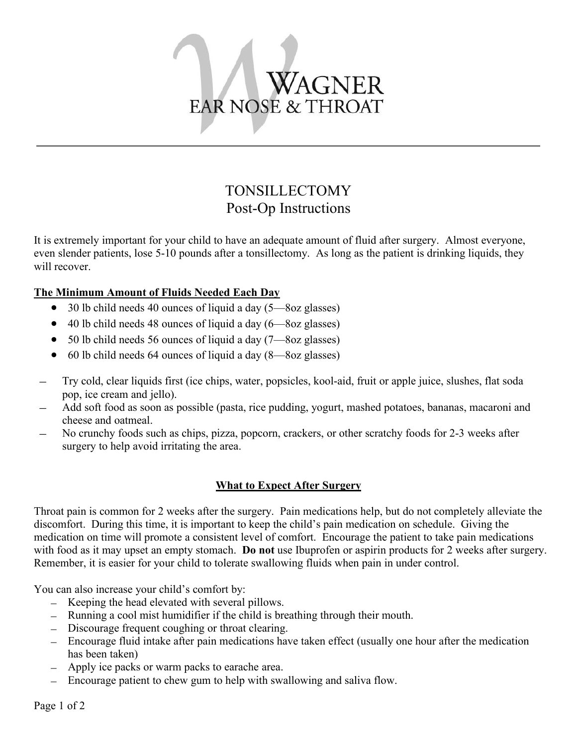

# TONSILLECTOMY Post-Op Instructions

It is extremely important for your child to have an adequate amount of fluid after surgery. Almost everyone, even slender patients, lose 5-10 pounds after a tonsillectomy. As long as the patient is drinking liquids, they will recover.

# **The Minimum Amount of Fluids Needed Each Day**

- 30 lb child needs 40 ounces of liquid a day  $(5 8$ oz glasses)
- $\bullet$  40 lb child needs 48 ounces of liquid a day (6—8oz glasses)
- $\bullet$  50 lb child needs 56 ounces of liquid a day (7—8oz glasses)
- $\bullet$  60 lb child needs 64 ounces of liquid a day  $(8 8$ oz glasses)
- Try cold, clear liquids first (ice chips, water, popsicles, kool-aid, fruit or apple juice, slushes, flat soda pop, ice cream and jello).
- Add soft food as soon as possible (pasta, rice pudding, yogurt, mashed potatoes, bananas, macaroni and cheese and oatmeal.
- No crunchy foods such as chips, pizza, popcorn, crackers, or other scratchy foods for 2-3 weeks after surgery to help avoid irritating the area.

# **What to ExpectAfter Surgery**

Throat pain is common for 2 weeks after the surgery. Pain medications help, but do not completely alleviate the discomfort. During this time, it is important to keep the child's pain medication on schedule. Giving the medication on time will promote a consistent level of comfort. Encourage the patient to take pain medications with food as it may upset an empty stomach. **Do not** use Ibuprofen or aspirin products for 2 weeks after surgery. Remember, it is easier for your child to tolerate swallowing fluids when pain in under control.

You can also increase your child's comfort by:

- Keeping the head elevated with several pillows.
- Running a cool mist humidifier if the child is breathing through their mouth.
- Discourage frequent coughing or throat clearing.
- $-$  Encourage fluid intake after pain medications have taken effect (usually one hour after the medication has been taken)
- Apply ice packs or warm packs to earache area.
- Encourage patient to chew gum to help with swallowing and saliva flow.